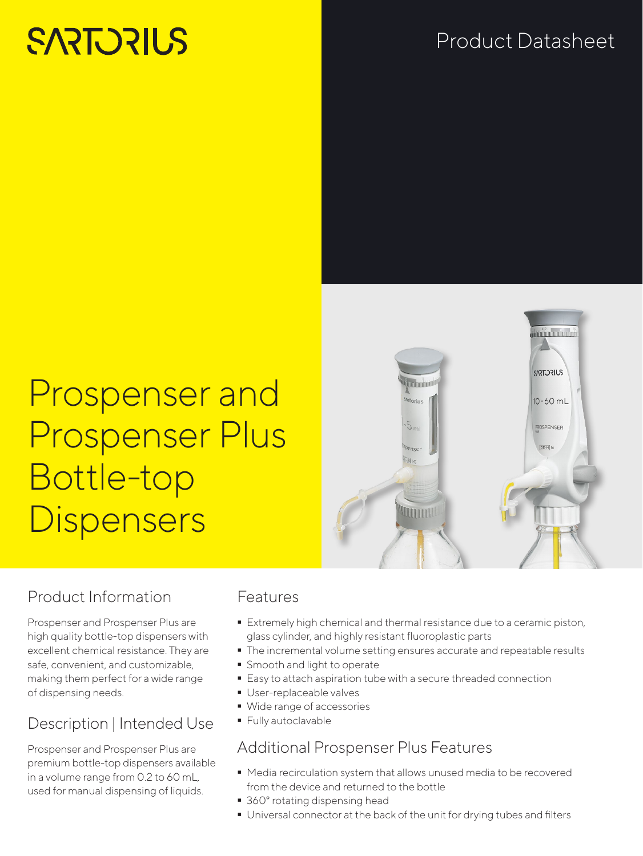# **SARTORILS**

### Product Datasheet

## Prospenser and Prospenser Plus Bottle-top **Dispensers**



#### Product Information

Prospenser and Prospenser Plus are high quality bottle-top dispensers with excellent chemical resistance. They are safe, convenient, and customizable, making them perfect for a wide range of dispensing needs.

### Description | Intended Use

Prospenser and Prospenser Plus are premium bottle-top dispensers available in a volume range from 0.2 to 60 mL, used for manual dispensing of liquids.

#### Features

- Extremely high chemical and thermal resistance due to a ceramic piston, glass cylinder, and highly resistant fluoroplastic parts
- $\blacksquare$  The incremental volume setting ensures accurate and repeatable results
- **Smooth and light to operate**
- **Easy to attach aspiration tube with a secure threaded connection**
- **User-replaceable valves**
- Wide range of accessories
- **Fully autoclavable**

#### Additional Prospenser Plus Features

- Media recirculation system that allows unused media to be recovered from the device and returned to the bottle
- 360° rotating dispensing head
- Universal connector at the back of the unit for drying tubes and filters